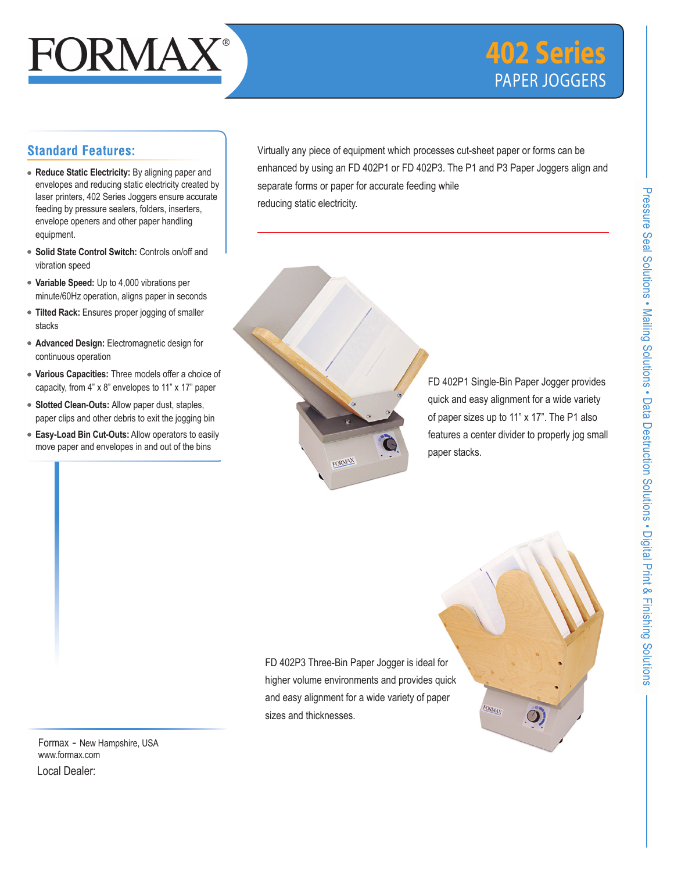# FORMAX

## **402 Series** PAPER JOGGERS

### **Standard Features:**

- **Reduce Static Electricity:** By aligning paper and envelopes and reducing static electricity created by laser printers, 402 Series Joggers ensure accurate feeding by pressure sealers, folders, inserters, envelope openers and other paper handling equipment.
- **Solid State Control Switch:** Controls on/off and vibration speed
- **Variable Speed:** Up to 4,000 vibrations per minute/60Hz operation, aligns paper in seconds
- **Tilted Rack:** Ensures proper jogging of smaller stacks
- **Advanced Design:** Electromagnetic design for continuous operation
- **Various Capacities:** Three models offer a choice of capacity, from 4" x 8" envelopes to 11" x 17" paper
- **Slotted Clean-Outs:** Allow paper dust, staples, paper clips and other debris to exit the jogging bin
- **Easy-Load Bin Cut-Outs:** Allow operators to easily move paper and envelopes in and out of the bins

Virtually any piece of equipment which processes cut-sheet paper or forms can be enhanced by using an FD 402P1 or FD 402P3. The P1 and P3 Paper Joggers align and separate forms or paper for accurate feeding while reducing static electricity.



FD 402P1 Single-Bin Paper Jogger provides quick and easy alignment for a wide variety of paper sizes up to 11" x 17". The P1 also features a center divider to properly jog small paper stacks.

**FORMAX** 

 $\bm{\mathcal{O}}$ 

FD 402P3 Three-Bin Paper Jogger is ideal for higher volume environments and provides quick and easy alignment for a wide variety of paper sizes and thicknesses.

Formax - New Hampshire, USA www.formax.com Local Dealer:

Pressure Seal Solutions • Mailing Solutions • Data Destruction SolutionsPressure Seal Solutions . Mailing Solutions . Data Destruction Solutions . Digital Print & Finishing Solutions Digital Print & Finishing Solutions